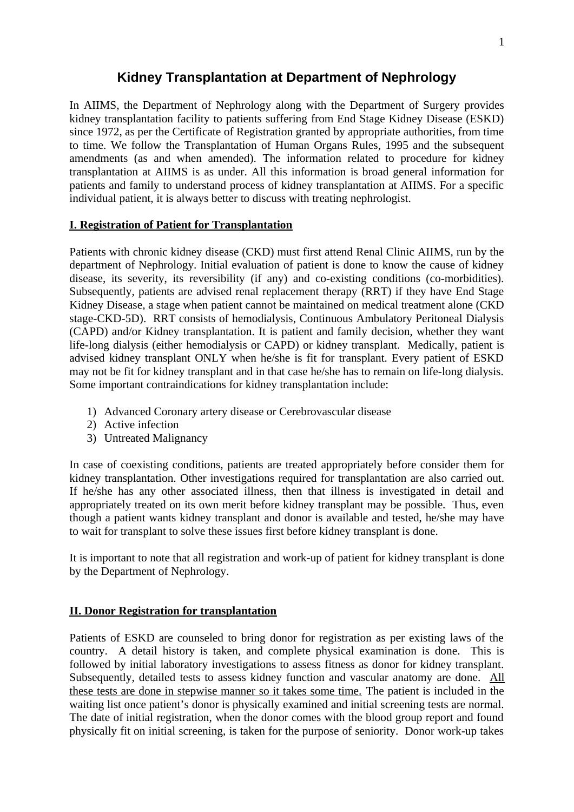# **Kidney Transplantation at Department of Nephrology**

In AIIMS, the Department of Nephrology along with the Department of Surgery provides kidney transplantation facility to patients suffering from End Stage Kidney Disease (ESKD) since 1972, as per the Certificate of Registration granted by appropriate authorities, from time to time. We follow the Transplantation of Human Organs Rules, 1995 and the subsequent amendments (as and when amended). The information related to procedure for kidney transplantation at AIIMS is as under. All this information is broad general information for patients and family to understand process of kidney transplantation at AIIMS. For a specific individual patient, it is always better to discuss with treating nephrologist.

#### **I. Registration of Patient for Transplantation**

Patients with chronic kidney disease (CKD) must first attend Renal Clinic AIIMS, run by the department of Nephrology. Initial evaluation of patient is done to know the cause of kidney disease, its severity, its reversibility (if any) and co-existing conditions (co-morbidities). Subsequently, patients are advised renal replacement therapy (RRT) if they have End Stage Kidney Disease, a stage when patient cannot be maintained on medical treatment alone (CKD stage-CKD-5D). RRT consists of hemodialysis, Continuous Ambulatory Peritoneal Dialysis (CAPD) and/or Kidney transplantation. It is patient and family decision, whether they want life-long dialysis (either hemodialysis or CAPD) or kidney transplant. Medically, patient is advised kidney transplant ONLY when he/she is fit for transplant. Every patient of ESKD may not be fit for kidney transplant and in that case he/she has to remain on life-long dialysis. Some important contraindications for kidney transplantation include:

- 1) Advanced Coronary artery disease or Cerebrovascular disease
- 2) Active infection
- 3) Untreated Malignancy

In case of coexisting conditions, patients are treated appropriately before consider them for kidney transplantation. Other investigations required for transplantation are also carried out. If he/she has any other associated illness, then that illness is investigated in detail and appropriately treated on its own merit before kidney transplant may be possible. Thus, even though a patient wants kidney transplant and donor is available and tested, he/she may have to wait for transplant to solve these issues first before kidney transplant is done.

It is important to note that all registration and work-up of patient for kidney transplant is done by the Department of Nephrology.

#### **II. Donor Registration for transplantation**

Patients of ESKD are counseled to bring donor for registration as per existing laws of the country. A detail history is taken, and complete physical examination is done. This is followed by initial laboratory investigations to assess fitness as donor for kidney transplant. Subsequently, detailed tests to assess kidney function and vascular anatomy are done. All these tests are done in stepwise manner so it takes some time. The patient is included in the waiting list once patient's donor is physically examined and initial screening tests are normal. The date of initial registration, when the donor comes with the blood group report and found physically fit on initial screening, is taken for the purpose of seniority. Donor work-up takes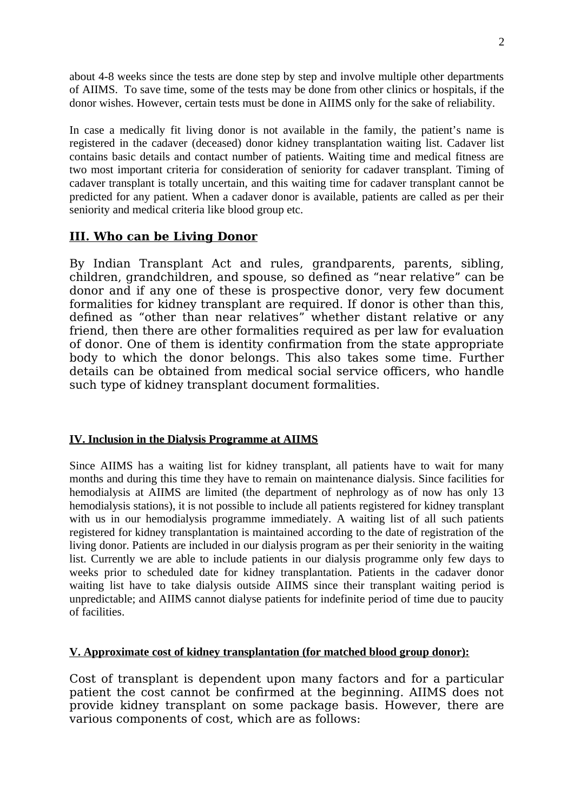about 4-8 weeks since the tests are done step by step and involve multiple other departments of AIIMS. To save time, some of the tests may be done from other clinics or hospitals, if the donor wishes. However, certain tests must be done in AIIMS only for the sake of reliability.

In case a medically fit living donor is not available in the family, the patient's name is registered in the cadaver (deceased) donor kidney transplantation waiting list. Cadaver list contains basic details and contact number of patients. Waiting time and medical fitness are two most important criteria for consideration of seniority for cadaver transplant. Timing of cadaver transplant is totally uncertain, and this waiting time for cadaver transplant cannot be predicted for any patient. When a cadaver donor is available, patients are called as per their seniority and medical criteria like blood group etc.

## **III. Who can be Living Donor**

By Indian Transplant Act and rules, grandparents, parents, sibling, children, grandchildren, and spouse, so defined as "near relative" can be donor and if any one of these is prospective donor, very few document formalities for kidney transplant are required. If donor is other than this, defined as "other than near relatives" whether distant relative or any friend, then there are other formalities required as per law for evaluation of donor. One of them is identity confirmation from the state appropriate body to which the donor belongs. This also takes some time. Further details can be obtained from medical social service officers, who handle such type of kidney transplant document formalities.

### **IV. Inclusion in the Dialysis Programme at AIIMS**

Since AIIMS has a waiting list for kidney transplant, all patients have to wait for many months and during this time they have to remain on maintenance dialysis. Since facilities for hemodialysis at AIIMS are limited (the department of nephrology as of now has only 13 hemodialysis stations), it is not possible to include all patients registered for kidney transplant with us in our hemodialysis programme immediately. A waiting list of all such patients registered for kidney transplantation is maintained according to the date of registration of the living donor. Patients are included in our dialysis program as per their seniority in the waiting list. Currently we are able to include patients in our dialysis programme only few days to weeks prior to scheduled date for kidney transplantation. Patients in the cadaver donor waiting list have to take dialysis outside AIIMS since their transplant waiting period is unpredictable; and AIIMS cannot dialyse patients for indefinite period of time due to paucity of facilities.

### **V. Approximate cost of kidney transplantation (for matched blood group donor):**

Cost of transplant is dependent upon many factors and for a particular patient the cost cannot be confirmed at the beginning. AIIMS does not provide kidney transplant on some package basis. However, there are various components of cost, which are as follows: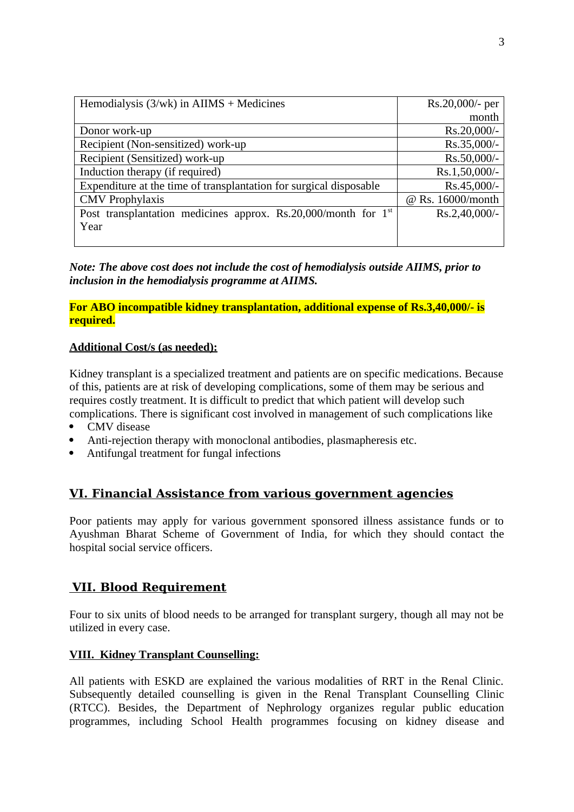| Hemodialysis $(3/wk)$ in AIIMS + Medicines                                 | Rs.20,000/- per     |
|----------------------------------------------------------------------------|---------------------|
|                                                                            | month               |
| Donor work-up                                                              | Rs.20,000/-         |
| Recipient (Non-sensitized) work-up                                         | Rs.35,000/-         |
| Recipient (Sensitized) work-up                                             | Rs.50,000/-         |
| Induction therapy (if required)                                            | Rs.1,50,000/-       |
| Expenditure at the time of transplantation for surgical disposable         | Rs.45,000/-         |
| <b>CMV</b> Prophylaxis                                                     | $@$ Rs. 16000/month |
| Post transplantation medicines approx. Rs.20,000/month for 1 <sup>st</sup> | Rs.2,40,000/-       |
| Year                                                                       |                     |
|                                                                            |                     |

*Note: The above cost does not include the cost of hemodialysis outside AIIMS, prior to inclusion in the hemodialysis programme at AIIMS.*

**For ABO incompatible kidney transplantation, additional expense of Rs.3,40,000/- is required.**

#### **Additional Cost/s (as needed):**

Kidney transplant is a specialized treatment and patients are on specific medications. Because of this, patients are at risk of developing complications, some of them may be serious and requires costly treatment. It is difficult to predict that which patient will develop such complications. There is significant cost involved in management of such complications like

- CMV disease
- Anti-rejection therapy with monoclonal antibodies, plasmapheresis etc.
- Antifungal treatment for fungal infections

## **VI. Financial Assistance from various government agencies**

Poor patients may apply for various government sponsored illness assistance funds or to Ayushman Bharat Scheme of Government of India, for which they should contact the hospital social service officers.

## **VII. Blood Requirement**

Four to six units of blood needs to be arranged for transplant surgery, though all may not be utilized in every case.

#### **VIII. Kidney Transplant Counselling:**

All patients with ESKD are explained the various modalities of RRT in the Renal Clinic. Subsequently detailed counselling is given in the Renal Transplant Counselling Clinic (RTCC). Besides, the Department of Nephrology organizes regular public education programmes, including School Health programmes focusing on kidney disease and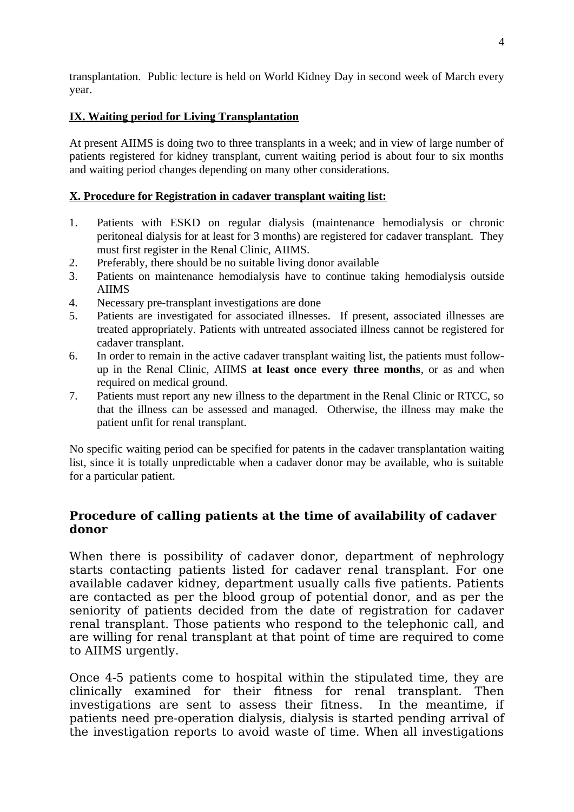transplantation. Public lecture is held on World Kidney Day in second week of March every year.

## **IX. Waiting period for Living Transplantation**

At present AIIMS is doing two to three transplants in a week; and in view of large number of patients registered for kidney transplant, current waiting period is about four to six months and waiting period changes depending on many other considerations.

## **X. Procedure for Registration in cadaver transplant waiting list:**

- 1. Patients with ESKD on regular dialysis (maintenance hemodialysis or chronic peritoneal dialysis for at least for 3 months) are registered for cadaver transplant. They must first register in the Renal Clinic, AIIMS.
- 2. Preferably, there should be no suitable living donor available
- 3. Patients on maintenance hemodialysis have to continue taking hemodialysis outside AIIMS
- 4. Necessary pre-transplant investigations are done
- 5. Patients are investigated for associated illnesses. If present, associated illnesses are treated appropriately. Patients with untreated associated illness cannot be registered for cadaver transplant.
- 6. In order to remain in the active cadaver transplant waiting list, the patients must followup in the Renal Clinic, AIIMS **at least once every three months**, or as and when required on medical ground.
- 7. Patients must report any new illness to the department in the Renal Clinic or RTCC, so that the illness can be assessed and managed. Otherwise, the illness may make the patient unfit for renal transplant.

No specific waiting period can be specified for patents in the cadaver transplantation waiting list, since it is totally unpredictable when a cadaver donor may be available, who is suitable for a particular patient.

## **Procedure of calling patients at the time of availability of cadaver donor**

When there is possibility of cadaver donor, department of nephrology starts contacting patients listed for cadaver renal transplant. For one available cadaver kidney, department usually calls five patients. Patients are contacted as per the blood group of potential donor, and as per the seniority of patients decided from the date of registration for cadaver renal transplant. Those patients who respond to the telephonic call, and are willing for renal transplant at that point of time are required to come to AIIMS urgently.

Once 4-5 patients come to hospital within the stipulated time, they are clinically examined for their fitness for renal transplant. Then investigations are sent to assess their fitness. In the meantime, if patients need pre-operation dialysis, dialysis is started pending arrival of the investigation reports to avoid waste of time. When all investigations